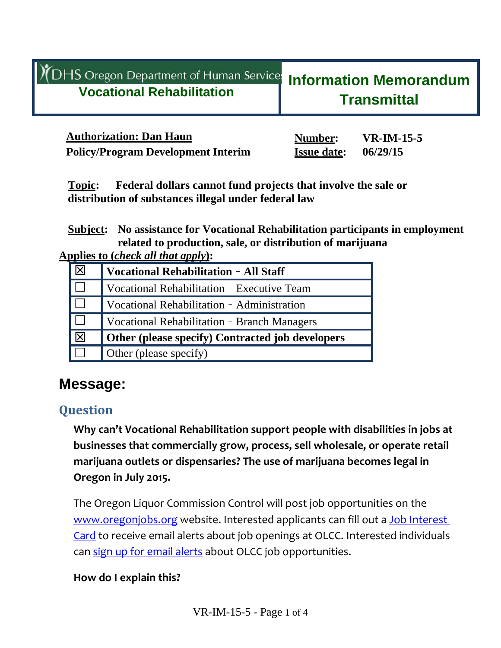|  | YDHS Oregon Department of Human Services<br><b>Vocational Rehabilitation</b> | <b>Information Memorandum</b><br><b>Transmittal</b> |
|--|------------------------------------------------------------------------------|-----------------------------------------------------|
|--|------------------------------------------------------------------------------|-----------------------------------------------------|

| <b>Authorization: Dan Haun</b>            | Number:            | $VR$ -IM-15-5 |
|-------------------------------------------|--------------------|---------------|
| <b>Policy/Program Development Interim</b> | <b>Issue date:</b> | 06/29/15      |

**Topic: Federal dollars cannot fund projects that involve the sale or distribution of substances illegal under federal law**

**Subject: No assistance for Vocational Rehabilitation participants in employment related to production, sale, or distribution of marijuana** 

**Applies to (***check all that apply***):**

|   | <b>Vocational Rehabilitation - All Staff</b>     |  |
|---|--------------------------------------------------|--|
|   | Vocational Rehabilitation - Executive Team       |  |
|   | Vocational Rehabilitation - Administration       |  |
|   | Vocational Rehabilitation - Branch Managers      |  |
| 区 | Other (please specify) Contracted job developers |  |
|   | Other (please specify)                           |  |

# **Message:**

### **Question**

**Why can't Vocational Rehabilitation support people with disabilities in jobs at businesses that commercially grow, process, sell wholesale, or operate retail marijuana outlets or dispensaries? The use of marijuana becomes legal in Oregon in July 2015.** 

The Oregon Liquor Commission Control will post job opportunities on the www.oregonjobs.org website. Interested applicants can fill out a Job Interest Card to receive email alerts about job openings at OLCC. Interested individuals can sign up for email alerts about OLCC job opportunities.

#### **How do I explain this?**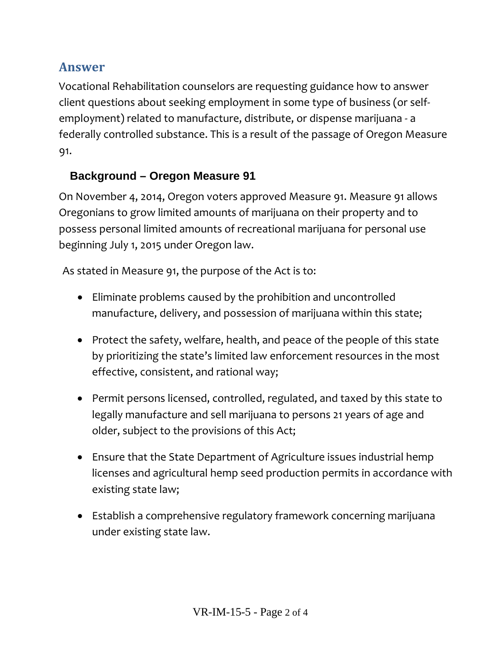## **Answer**

Vocational Rehabilitation counselors are requesting guidance how to answer client questions about seeking employment in some type of business (or self‐ employment) related to manufacture, distribute, or dispense marijuana ‐ a federally controlled substance. This is a result of the passage of Oregon Measure 91.

### **Background – Oregon Measure 91**

On November 4, 2014, Oregon voters approved Measure 91. Measure 91 allows Oregonians to grow limited amounts of marijuana on their property and to possess personal limited amounts of recreational marijuana for personal use beginning July 1, 2015 under Oregon law.

As stated in Measure 91, the purpose of the Act is to:

- Eliminate problems caused by the prohibition and uncontrolled manufacture, delivery, and possession of marijuana within this state;
- Protect the safety, welfare, health, and peace of the people of this state by prioritizing the state's limited law enforcement resources in the most effective, consistent, and rational way;
- Permit persons licensed, controlled, regulated, and taxed by this state to legally manufacture and sell marijuana to persons 21 years of age and older, subject to the provisions of this Act;
- Ensure that the State Department of Agriculture issues industrial hemp licenses and agricultural hemp seed production permits in accordance with existing state law;
- Establish a comprehensive regulatory framework concerning marijuana under existing state law.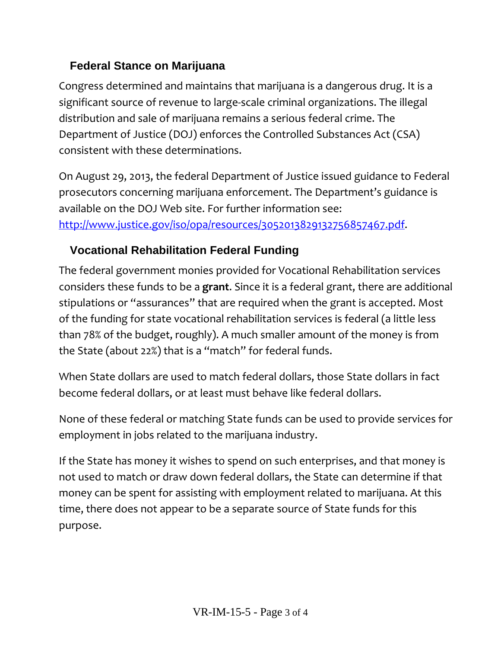### **Federal Stance on Marijuana**

Congress determined and maintains that marijuana is a dangerous drug. It is a significant source of revenue to large‐scale criminal organizations. The illegal distribution and sale of marijuana remains a serious federal crime. The Department of Justice (DOJ) enforces the Controlled Substances Act (CSA) consistent with these determinations.

On August 29, 2013, the federal Department of Justice issued guidance to Federal prosecutors concerning marijuana enforcement. The Department's guidance is available on the DOJ Web site. For further information see: http://www.justice.gov/iso/opa/resources/3052013829132756857467.pdf.

## **Vocational Rehabilitation Federal Funding**

The federal government monies provided for Vocational Rehabilitation services considers these funds to be a **grant**. Since it is a federal grant, there are additional stipulations or "assurances" that are required when the grant is accepted. Most of the funding for state vocational rehabilitation services is federal (a little less than 78% of the budget, roughly). A much smaller amount of the money is from the State (about 22%) that is a "match" for federal funds.

When State dollars are used to match federal dollars, those State dollars in fact become federal dollars, or at least must behave like federal dollars.

None of these federal or matching State funds can be used to provide services for employment in jobs related to the marijuana industry.

If the State has money it wishes to spend on such enterprises, and that money is not used to match or draw down federal dollars, the State can determine if that money can be spent for assisting with employment related to marijuana. At this time, there does not appear to be a separate source of State funds for this purpose.